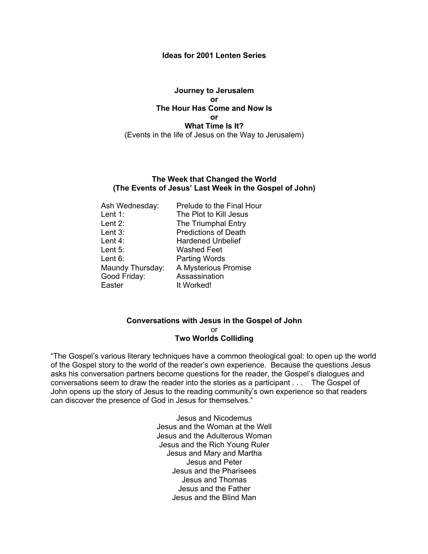#### **Ideas for 2001 Lenten Series**

#### **Journey to Jerusalem or The Hour Has Come and Now Is or What Time Is It?** (Events in the life of Jesus on the Way to Jerusalem)

#### **The Week that Changed the World (The Events of Jesus' Last Week in the Gospel of John)**

| Ash Wednesday:   | Prelude to the Final Hour   |
|------------------|-----------------------------|
| Lent 1:          | The Plot to Kill Jesus      |
| Lent $2:$        | The Triumphal Entry         |
| Lent $3:$        | <b>Predictions of Death</b> |
| Lent $4:$        | <b>Hardened Unbelief</b>    |
| Lent $5:$        | <b>Washed Feet</b>          |
| Lent $6:$        | <b>Parting Words</b>        |
| Maundy Thursday: | A Mysterious Promise        |
| Good Friday:     | Assassination               |
| Easter           | It Worked!                  |

#### **Conversations with Jesus in the Gospel of John** or **Two Worlds Colliding**

"The Gospel's various literary techniques have a common theological goal: to open up the world of the Gospel story to the world of the reader's own experience. Because the questions Jesus asks his conversation partners become questions for the reader, the Gospel's dialogues and conversations seem to draw the reader into the stories as a participant . . . The Gospel of John opens up the story of Jesus to the reading community's own experience so that readers can discover the presence of God in Jesus for themselves."

> Jesus and Nicodemus Jesus and the Woman at the Well Jesus and the Adulterous Woman Jesus and the Rich Young Ruler Jesus and Mary and Martha Jesus and Peter Jesus and the Pharisees Jesus and Thomas Jesus and the Father Jesus and the Blind Man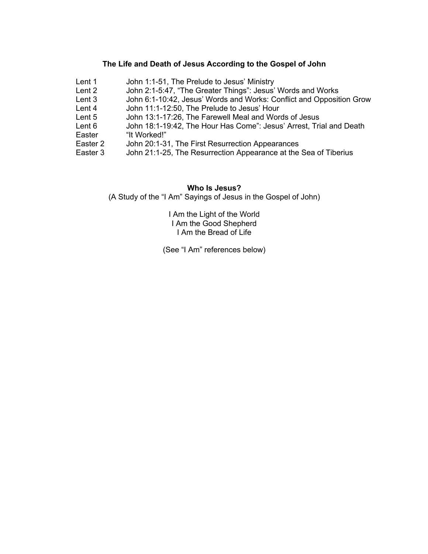# **The Life and Death of Jesus According to the Gospel of John**

| Lent 1              | John 1:1-51, The Prelude to Jesus' Ministry                          |
|---------------------|----------------------------------------------------------------------|
| Lent 2              | John 2:1-5:47, "The Greater Things": Jesus' Words and Works          |
| Lent 3              | John 6:1-10:42, Jesus' Words and Works: Conflict and Opposition Grow |
| Lent 4              | John 11:1-12:50, The Prelude to Jesus' Hour                          |
| Lent 5              | John 13:1-17:26, The Farewell Meal and Words of Jesus                |
| Lent 6              | John 18:1-19:42, The Hour Has Come": Jesus' Arrest, Trial and Death  |
| Easter              | "It Worked!"                                                         |
| Easter <sub>2</sub> | John 20:1-31, The First Resurrection Appearances                     |
| Easter <sub>3</sub> | John 21:1-25, The Resurrection Appearance at the Sea of Tiberius     |
|                     |                                                                      |

#### **Who Is Jesus?**

(A Study of the "I Am" Sayings of Jesus in the Gospel of John)

I Am the Light of the World I Am the Good Shepherd I Am the Bread of Life

(See "I Am" references below)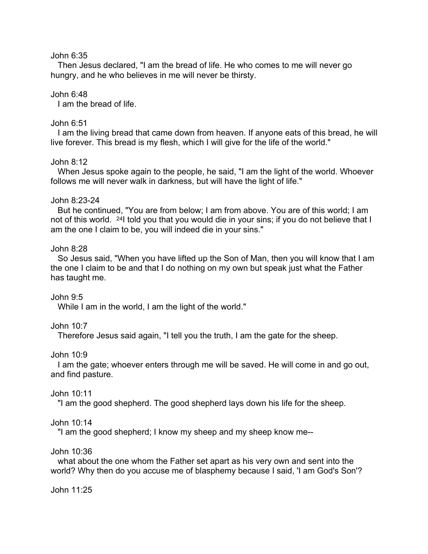# John 6:35

Then Jesus declared, "I am the bread of life. He who comes to me will never go hungry, and he who believes in me will never be thirsty.

# John 6:48

I am the bread of life.

# John 6:51

I am the living bread that came down from heaven. If anyone eats of this bread, he will live forever. This bread is my flesh, which I will give for the life of the world."

# John 8:12

When Jesus spoke again to the people, he said, "I am the light of the world. Whoever follows me will never walk in darkness, but will have the light of life."

# John 8:23-24

But he continued, "You are from below; I am from above. You are of this world; I am not of this world. <sup>24</sup> I told you that you would die in your sins; if you do not believe that I am the one I claim to be, you will indeed die in your sins."

## John 8:28

So Jesus said, "When you have lifted up the Son of Man, then you will know that I am the one I claim to be and that I do nothing on my own but speak just what the Father has taught me.

## John 9:5

While I am in the world, I am the light of the world."

## John 10:7

Therefore Jesus said again, "I tell you the truth, I am the gate for the sheep.

## John 10:9

I am the gate; whoever enters through me will be saved. He will come in and go out, and find pasture.

## John 10:11

"I am the good shepherd. The good shepherd lays down his life for the sheep.

## John 10:14

"I am the good shepherd; I know my sheep and my sheep know me--

## John 10:36

what about the one whom the Father set apart as his very own and sent into the world? Why then do you accuse me of blasphemy because I said, 'I am God's Son'?

John 11:25